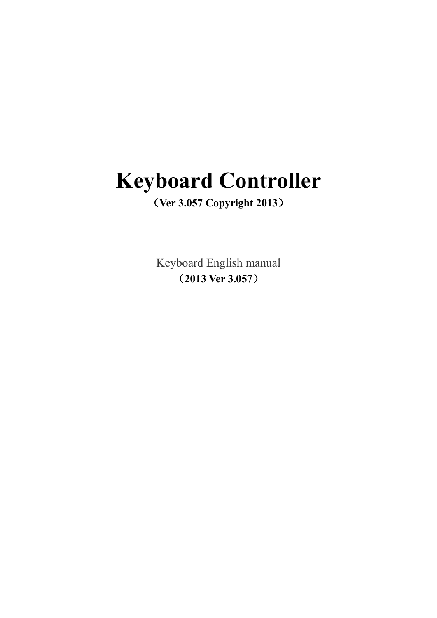# **Keyboard Controller**

### (**Ver 3.057 Copyright 2013**)

Keyboard English manual (**2013 Ver 3.057**)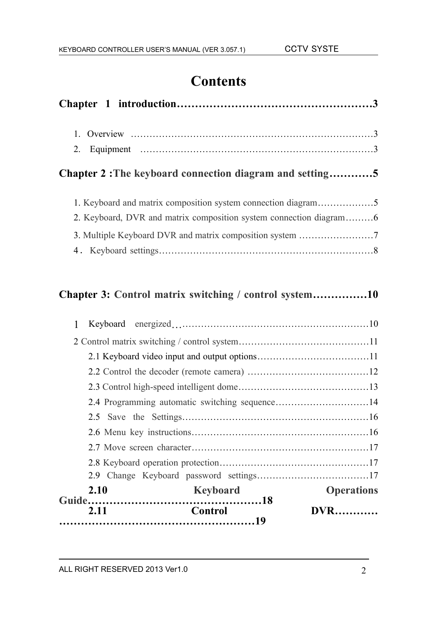# **Contents**

| Chapter 2: The keyboard connection diagram and setting5       |  |
|---------------------------------------------------------------|--|
| 1. Keyboard and matrix composition system connection diagram5 |  |
|                                                               |  |
| 3. Multiple Keyboard DVR and matrix composition system 7      |  |
|                                                               |  |

### **Chapter 3: Control matrix switching / control system……………10**

| 2.11 | Control         | <b>DVR</b>        |
|------|-----------------|-------------------|
| 2.10 | <b>Keyboard</b> | <b>Operations</b> |
|      |                 |                   |
|      |                 |                   |
|      |                 |                   |
|      |                 |                   |
|      |                 |                   |
|      |                 |                   |
|      |                 |                   |
|      |                 |                   |
|      |                 |                   |
|      |                 |                   |
|      |                 |                   |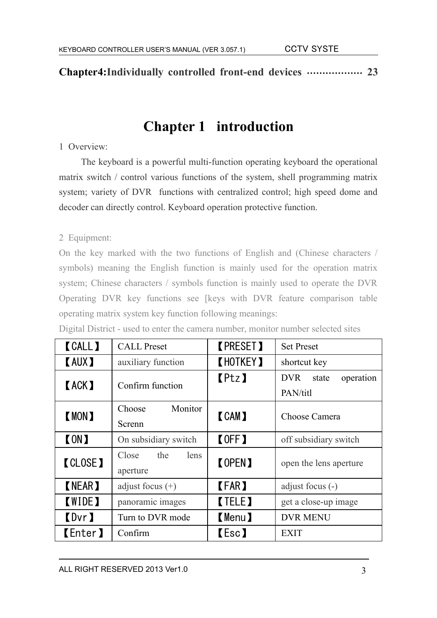**Chapter4:Individually controlled front-end devices ……………… 23**

# **Chapter 1 introduction**

#### 1 Overview:

The keyboard is a powerful multi-function operating keyboard the operational matrix switch / control various functions of the system, shell programming matrix system; variety of DVR functions with centralized control; high speed dome and decoder can directly control. Keyboard operation protective function.

#### 2 Equipment:

On the key marked with the two functions of English and (Chinese characters / symbols) meaning the English function is mainly used for the operation matrix system; Chinese characters / symbols function is mainly used to operate the DVR Operating DVR key functions see [keys with DVR feature comparison table operating matrix system key function following meanings:

| <b>CALL</b>           | <b>CALL</b> Preset               | <b>KPRESET</b>   | <b>Set Preset</b>                            |
|-----------------------|----------------------------------|------------------|----------------------------------------------|
| <b>KAUX)</b>          | auxiliary function               | <b>KHOTKEY 1</b> | shortcut key                                 |
| <b>KACK)</b>          | Confirm function                 | [Ptz]            | <b>DVR</b><br>operation<br>state<br>PAN/titl |
| <b>K</b> MON <b>J</b> | Monitor<br>Choose<br>Screnn      | <b>CAM</b>       | Choose Camera                                |
| <b>[ON]</b>           | On subsidiary switch             | <b>【OFF】</b>     | off subsidiary switch                        |
| <b>CLOSE</b> 1        | the<br>Close<br>lens<br>aperture | <b>[OPEN]</b>    | open the lens aperture                       |
| <b>(NEAR)</b>         | adjust focus $(+)$               | <b>[FAR]</b>     | adjust focus $(-)$                           |
| <b>KWIDE)</b>         | panoramic images                 | <b>TELE</b>      | get a close-up image                         |
| <b>【Dvr】</b>          | Turn to DVR mode                 | <b>(Menu)</b>    | <b>DVR MENU</b>                              |
| <b>【Enter】</b>        | Confirm                          | 【Esc】            | <b>EXIT</b>                                  |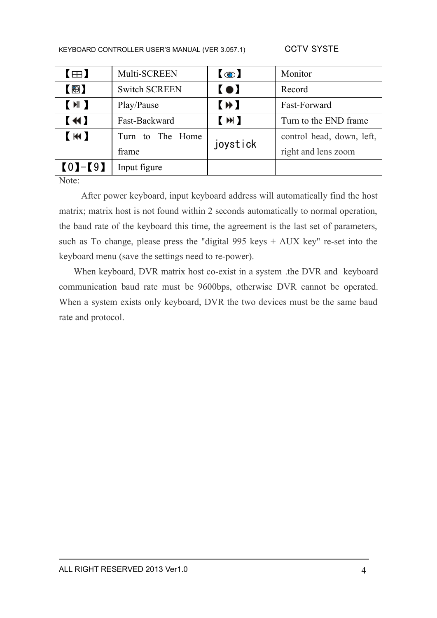| $\blacksquare$ | Multi-SCREEN         | $\odot$        | Monitor                   |
|----------------|----------------------|----------------|---------------------------|
| $\circledR$    | <b>Switch SCREEN</b> | $\blacksquare$ | Record                    |
| (M)            | Play/Pause           | $(\ast)$       | Fast-Forward              |
| $\blacksquare$ | Fast-Backward        | (M)            | Turn to the END frame     |
| (M)            | Turn to The Home     | joystick       | control head, down, left, |
|                | frame                |                | right and lens zoom       |
| $[0]-[9]$      | Input figure         |                |                           |

Note:

After power keyboard, input keyboard address will automatically find the host matrix; matrix host is not found within 2 seconds automatically to normal operation, the baud rate of the keyboard this time, the agreement is the last set of parameters, such as To change, please press the "digital 995 keys  $+$  AUX key" re-set into the keyboard menu (save the settings need to re-power).

When keyboard, DVR matrix host co-exist in a system .the DVR and keyboard communication baud rate must be 9600bps, otherwise DVR cannot be operated. When a system exists only keyboard, DVR the two devices must be the same baud rate and protocol.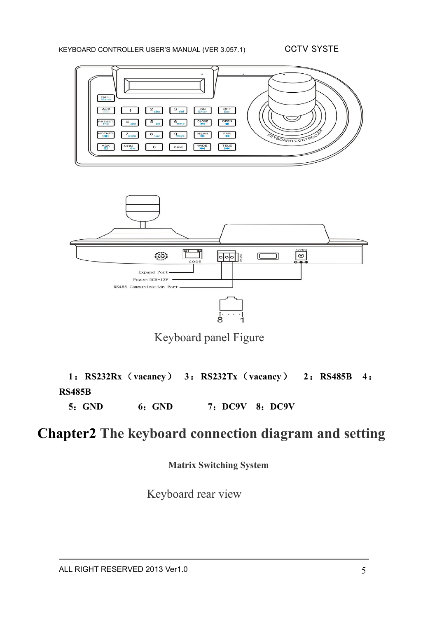



Keyboard panel Figure

**1**:**RS232Rx**(**vacancy**) **3**:**RS232Tx**(**vacancy**) **2**:**RS485B 4**: **RS485B**

**5**:**GND 6**:**GND 7**:**DC9V 8**:**DC9V**

# **Chapter2 The keyboard connection diagram and setting**

**Matrix Switching System**

Keyboard rear view

ALL RIGHT RESERVED 2013 Ver1.0 5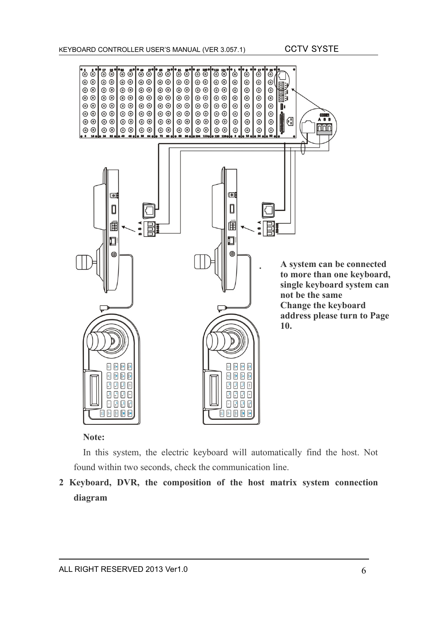

#### **Note:**

In this system, the electric keyboard will automatically find the host. Not found within two seconds, check the communication line.

**2 Keyboard, DVR, the composition of the host matrix system connection diagram**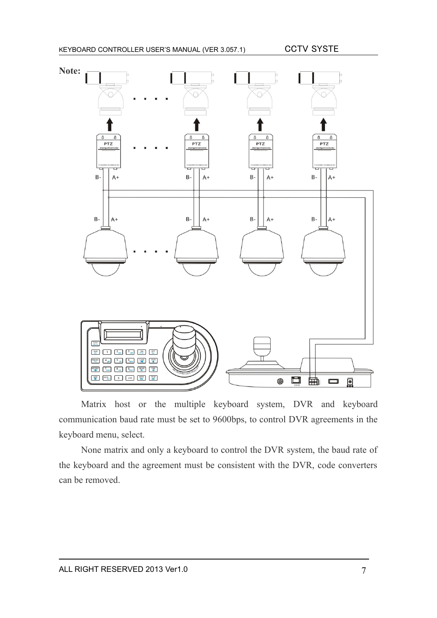

Matrix host or the multiple keyboard system, DVR and keyboard communication baud rate must be set to 9600bps, to control DVR agreements in the keyboard menu, select.

None matrix and only a keyboard to control the DVR system, the baud rate of the keyboard and the agreement must be consistent with the DVR, code converters can be removed.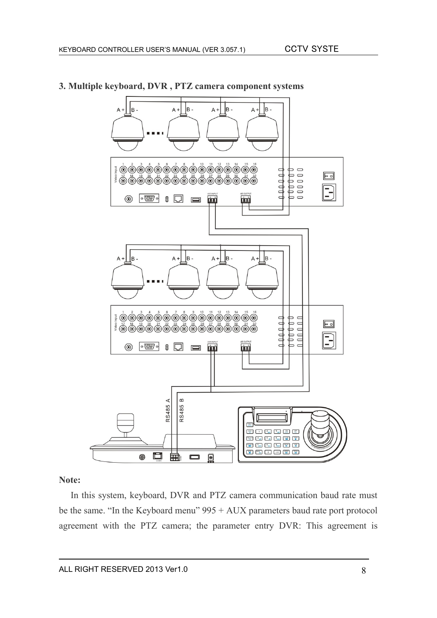

#### **3. Multiple keyboard, DVR , PTZ camera component systems**

#### **Note:**

In this system, keyboard, DVR and PTZ camera communication baud rate must be the same. "In the Keyboard menu" 995 + AUX parameters baud rate port protocol agreement with the PTZ camera; the parameter entry DVR: This agreement is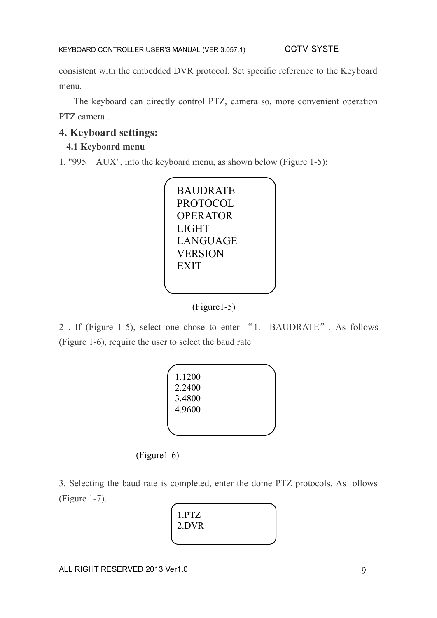consistent with the embedded DVR protocol. Set specific reference to the Keyboard menu.

The keyboard can directly control PTZ, camera so, more convenient operation PTZ camera .

### **4. Keyboard settings:**

#### **4.1 Keyboard menu**

1. "995 + AUX", into the keyboard menu, as shown below (Figure 1-5):



(Figure1-5)

2 . If (Figure 1-5), select one chose to enter "1. BAUDRATE". As follows (Figure 1-6), require the user to select the baud rate



(Figure1-6)

3. Selecting the baud rate is completed, enter the dome PTZ protocols. As follows (Figure 1-7).

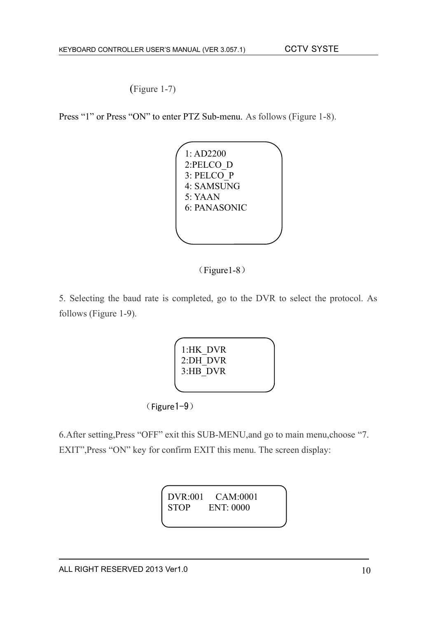(Figure 1-7)

Press "1" or Press "ON" to enter PTZ Sub-menu. As follows (Figure 1-8).





5. Selecting the baud rate is completed, go to the DVR to select the protocol. As follows (Figure 1-9).

| 1:HK DVR             |  |  |
|----------------------|--|--|
| 2:DH DVR<br>3:HB DVR |  |  |
|                      |  |  |
|                      |  |  |

(Figure1-9)

6.After setting,Press "OFF" exit this SUB-MENU,and go to main menu,choose "7. EXIT",Press "ON" key for confirm EXIT this menu. The screen display:

> DVR:001 CAM:0001 STOP ENT: 0000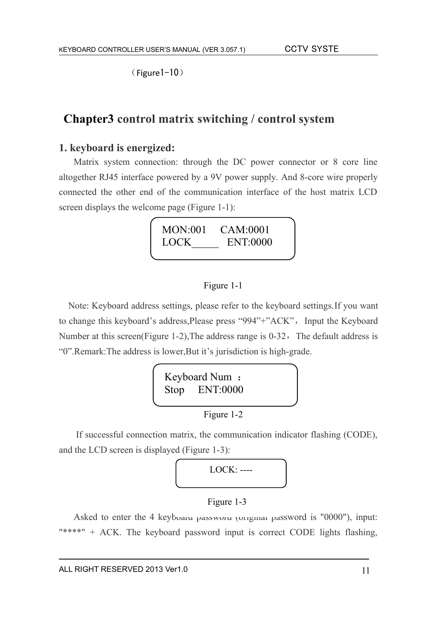(Figure1-10)

### **Chapter3 control matrix switching / control system**

#### **1. keyboard is energized:**

Matrix system connection: through the DC power connector or 8 core line altogether RJ45 interface powered by a 9V power supply. And 8-core wire properly connected the other end of the communication interface of the host matrix LCD screen displays the welcome page (Figure 1-1):



#### Figure 1-1

 Note: Keyboard address settings, please refer to the keyboard settings.If you want to change this keyboard's address, Please press "994"+"ACK", Input the Keyboard Number at this screen(Figure 1-2), The address range is  $0-32$ , The default address is "0".Remark:The address is lower,But it's jurisdiction is high-grade.



If successful connection matrix, the communication indicator flashing (CODE), and the LCD screen is displayed (Figure 1-3):



#### Figure 1-3

Asked to enter the 4 keyboard password (original password is "0000"), input: "\*\*\*\*" + ACK. The keyboard password input is correct CODE lights flashing,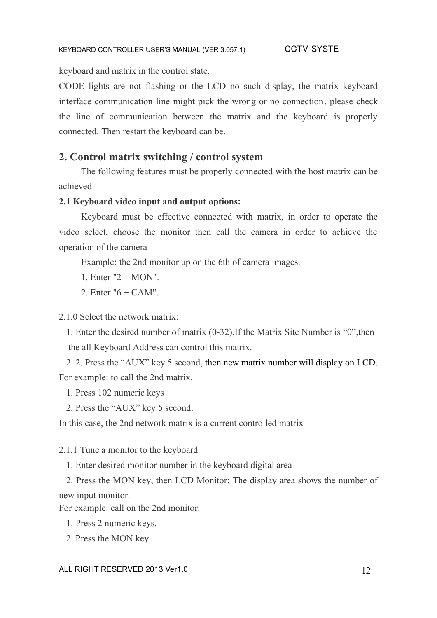keyboard and matrix in the control state.

CODE lights are not flashing or the LCD no such display, the matrix keyboard interface communication line might pick the wrong or no connection, please check the line of communication between the matrix and the keyboard is properly connected. Then restart the keyboard can be.

#### **2. Control matrix switching / control system**

The following features must be properly connected with the host matrix can be achieved

#### **2.1 Keyboard video input and output options:**

Keyboard must be effective connected with matrix, in order to operate the video select, choose the monitor then call the camera in order to achieve the operation of the camera

Example: the 2nd monitor up on the 6th of camera images.

1. Enter  $"2 + MON"$ .

2. Enter "6 + CAM".

2.1.0 Select the network matrix:

1. Enter the desired number of matrix (0-32),If the Matrix Site Number is "0",then the all Keyboard Address can control this matrix.

2. 2. Press the "AUX" key 5 second, then new matrix number will display on LCD. For example: to call the 2nd matrix.

1. Press 102 numeric keys

2. Press the "AUX" key 5 second.

In this case, the 2nd network matrix is a current controlled matrix

2.1.1 Tune a monitor to the keyboard

1. Enter desired monitor number in the keyboard digital area

2. Press the MON key, then LCD Monitor: The display area shows the number of new input monitor.

For example: call on the 2nd monitor.

1. Press 2 numeric keys.

2. Press the MON key.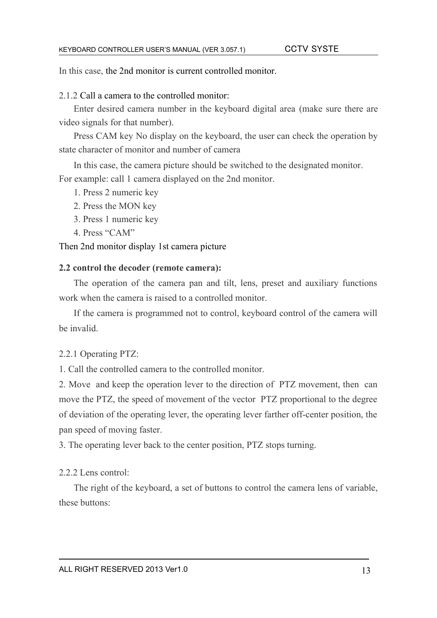In this case, the 2nd monitor is current controlled monitor.

2.1.2 Call a camera to the controlled monitor:

Enter desired camera number in the keyboard digital area (make sure there are video signals for that number).

Press CAM key No display on the keyboard, the user can check the operation by state character of monitor and number of camera

In this case, the camera picture should be switched to the designated monitor. For example: call 1 camera displayed on the 2nd monitor.

- 1. Press 2 numeric key
- 2. Press the MON key
- 3. Press 1 numeric key
- 4. Press "CAM"

Then 2nd monitor display 1st camera picture

#### **2.2 control the decoder (remote camera):**

The operation of the camera pan and tilt, lens, preset and auxiliary functions work when the camera is raised to a controlled monitor.

If the camera is programmed not to control, keyboard control of the camera will be invalid.

#### 2.2.1 Operating PTZ:

1. Call the controlled camera to the controlled monitor.

2. Move and keep the operation lever to the direction of PTZ movement, then can move the PTZ, the speed of movement of the vector PTZ proportional to the degree of deviation of the operating lever, the operating lever farther off-center position, the pan speed of moving faster.

3. The operating lever back to the center position, PTZ stops turning.

#### 2.2.2 Lens control:

The right of the keyboard, a set of buttons to control the camera lens of variable, these buttons: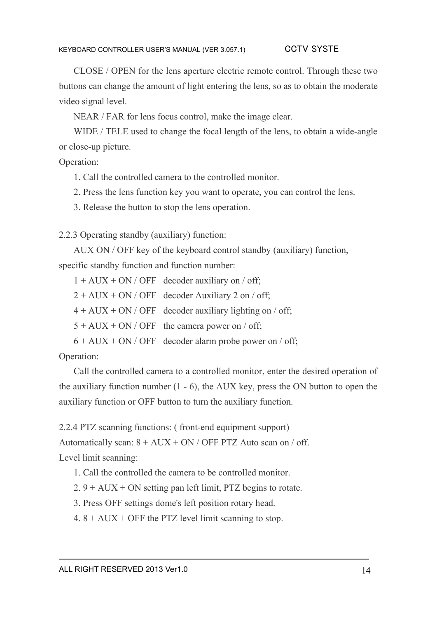CLOSE / OPEN for the lens aperture electric remote control. Through these two buttons can change the amount of light entering the lens, so as to obtain the moderate video signal level.

NEAR / FAR for lens focus control, make the image clear.

WIDE / TELE used to change the focal length of the lens, to obtain a wide-angle or close-up picture.

Operation:

1. Call the controlled camera to the controlled monitor.

2. Press the lens function key you want to operate, you can control the lens.

3. Release the button to stop the lens operation.

2.2.3 Operating standby (auxiliary) function:

AUX ON / OFF key of the keyboard control standby (auxiliary) function,

specific standby function and function number:

 $1 + AUX + ON / OFF$  decoder auxiliary on / off;

 $2 + AUX + ON / OFF$  decoder Auxiliary 2 on / off;

 $4 + AUX + ON / OFF$  decoder auxiliary lighting on / off;

 $5 + AUX + ON / OFF$  the camera power on / off;

 $6 + AUX + ON / OFF$  decoder alarm probe power on / off;

Operation:

Call the controlled camera to a controlled monitor, enter the desired operation of the auxiliary function number (1 - 6), the AUX key, press the ON button to open the auxiliary function or OFF button to turn the auxiliary function.

2.2.4 PTZ scanning functions: ( front-end equipment support)

Automatically scan:  $8 + AUX + ON / OFF PTZ$  Auto scan on / off.

Level limit scanning:

- 1. Call the controlled the camera to be controlled monitor.
- $2.9 + AUX + ON$  setting pan left limit, PTZ begins to rotate.
- 3. Press OFF settings dome's left position rotary head.
- 4.  $8 + AUX + OFF$  the PTZ level limit scanning to stop.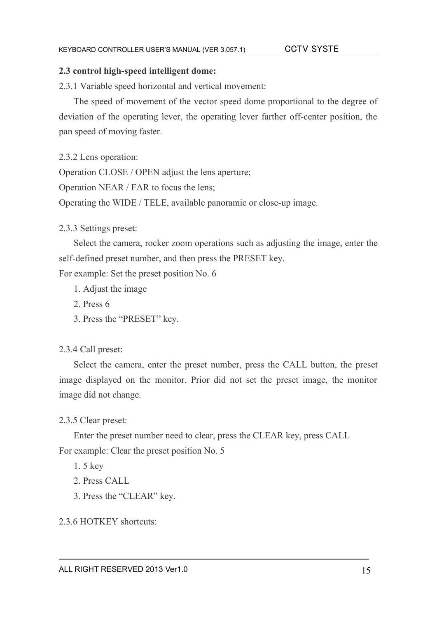#### **2.3 control high-speed intelligent dome:**

2.3.1 Variable speed horizontal and vertical movement:

The speed of movement of the vector speed dome proportional to the degree of deviation of the operating lever, the operating lever farther off-center position, the pan speed of moving faster.

2.3.2 Lens operation:

Operation CLOSE / OPEN adjust the lens aperture;

Operation NEAR / FAR to focus the lens;

Operating the WIDE / TELE, available panoramic or close-up image.

2.3.3 Settings preset:

Select the camera, rocker zoom operations such as adjusting the image, enter the self-defined preset number, and then press the PRESET key.

For example: Set the preset position No. 6

- 1. Adjust the image
- 2. Press 6
- 3. Press the "PRESET" key.

#### 2.3.4 Call preset:

Select the camera, enter the preset number, press the CALL button, the preset image displayed on the monitor. Prior did not set the preset image, the monitor image did not change.

#### 2.3.5 Clear preset:

Enter the preset number need to clear, press the CLEAR key, press CALL For example: Clear the preset position No. 5

1. 5 key

- 2. Press CALL
- 3. Press the "CLEAR" key.

2.3.6 HOTKEY shortcuts: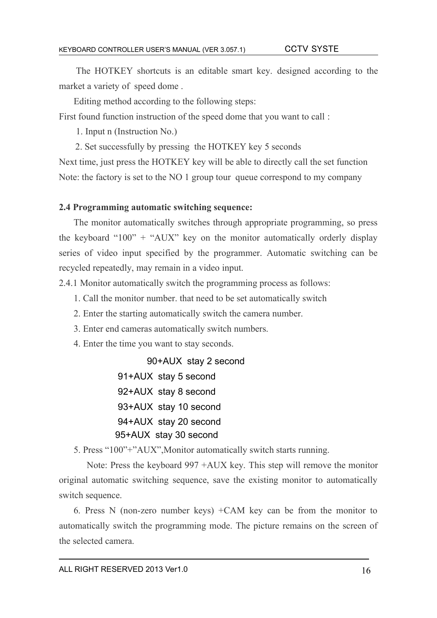The HOTKEY shortcuts is an editable smart key. designed according to the market a variety of speed dome .

Editing method according to the following steps:

First found function instruction of the speed dome that you want to call :

1. Input n (Instruction No.)

2. Set successfully by pressing the HOTKEY key 5 seconds

Next time, just press the HOTKEY key will be able to directly call the set function Note: the factory is set to the NO 1 group tour queue correspond to my company

#### **2.4 Programming automatic switching sequence:**

The monitor automatically switches through appropriate programming, so press the keyboard "100" + "AUX" key on the monitor automatically orderly display series of video input specified by the programmer. Automatic switching can be recycled repeatedly, may remain in a video input.

2.4.1 Monitor automatically switch the programming process as follows:

- 1. Call the monitor number. that need to be set automatically switch
- 2. Enter the starting automatically switch the camera number.
- 3. Enter end cameras automatically switch numbers.
- 4. Enter the time you want to stay seconds.

90+AUX stay 2 second

 91+AUX stay 5 second 92+AUX stay 8 second 93+AUX stay 10 second 94+AUX stay 20 second 95+AUX stay 30 second

5. Press "100"+"AUX",Monitor automatically switch starts running.

 Note: Press the keyboard 997 +AUX key. This step will remove the monitor original automatic switching sequence, save the existing monitor to automatically switch sequence.

6. Press N (non-zero number keys) +CAM key can be from the monitor to automatically switch the programming mode. The picture remains on the screen of the selected camera.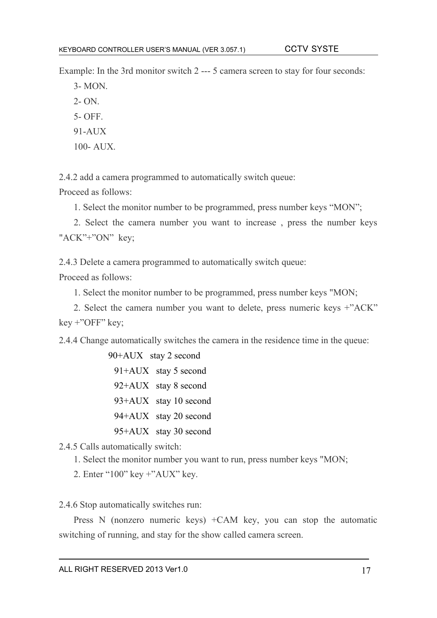Example: In the 3rd monitor switch 2 --- 5 camera screen to stay for four seconds:

3- MON. 2- ON. 5- OFF.

- 91-AUX
- 100- AUX.

2.4.2 add a camera programmed to automatically switch queue:

Proceed as follows:

1. Select the monitor number to be programmed, press number keys "MON";

2. Select the camera number you want to increase , press the number keys "ACK"<sup>+</sup>"ON" key:

2.4.3 Delete a camera programmed to automatically switch queue:

Proceed as follows:

1. Select the monitor number to be programmed, press number keys "MON;

2. Select the camera number you want to delete, press numeric keys +"ACK" key +"OFF" key;

2.4.4 Change automatically switches the camera in the residence time in the queue:

 90+AUX stay 2 second 91+AUX stay 5 second 92+AUX stay 8 second 93+AUX stay 10 second 94+AUX stay 20 second 95+AUX stay 30 second

2.4.5 Calls automatically switch:

- 1. Select the monitor number you want to run, press number keys "MON;
- 2. Enter "100" key +"AUX" key.

2.4.6 Stop automatically switches run:

Press N (nonzero numeric keys) +CAM key, you can stop the automatic switching of running, and stay for the show called camera screen.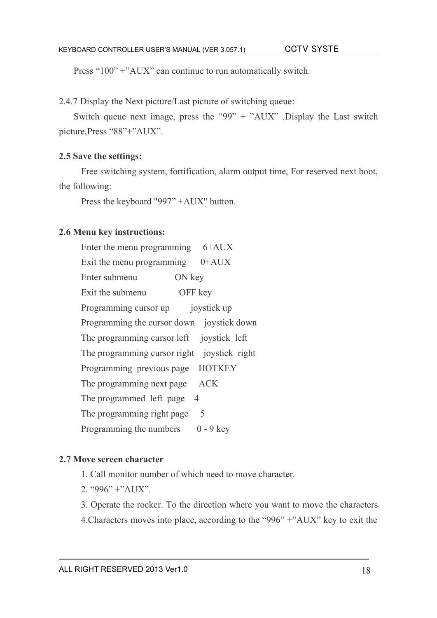Press "100" +"AUX" can continue to run automatically switch.

2.4.7 Display the Next picture/Last picture of switching queue:

Switch queue next image, press the "99" + "AUX" .Display the Last switch picture,Press "88"+"AUX".

#### **2.5 Save the settings:**

Free switching system, fortification, alarm output time, For reserved next boot, the following:

Press the keyboard "997" +AUX" button.

#### **2.6 Menu key instructions:**

| Enter the menu programming $6+{\rm AUX}$    |
|---------------------------------------------|
| Exit the menu programming $0+AUX$           |
| ON key<br>Enter submenu                     |
| Exit the submenu<br>OFF key                 |
| Programming cursor up<br>joystick up        |
| Programming the cursor down joystick down   |
| The programming cursor left joystick left   |
| The programming cursor right joystick right |
| Programming previous page HOTKEY            |
| The programming next page<br><b>ACK</b>     |
| The programmed left page<br>4               |
| The programming right page<br>5             |
| Programming the numbers $0 - 9$ key         |

#### **2.7 Move screen character**

1. Call monitor number of which need to move character.

2. "996" +"AUX".

3. Operate the rocker. To the direction where you want to move the characters 4.Characters moves into place, according to the "996" +"AUX" key to exit the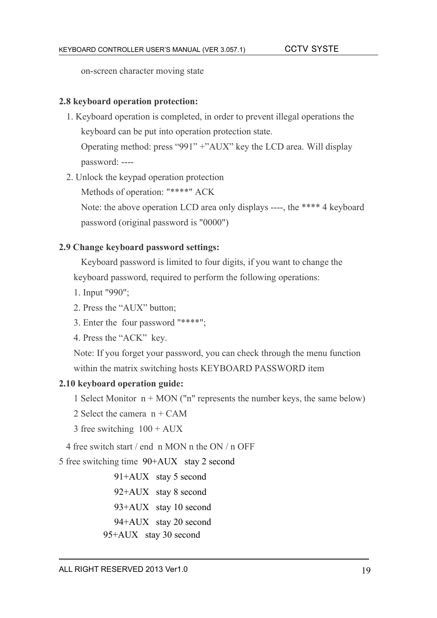on-screen character moving state

#### **2.8 keyboard operation protection:**

1. Keyboard operation is completed, in order to prevent illegal operations the keyboard can be put into operation protection state.

Operating method: press "991" +"AUX" key the LCD area. Will display password: ----

2. Unlock the keypad operation protection

Methods of operation: "\*\*\*\*" ACK

Note: the above operation LCD area only displays ----, the \*\*\*\* 4 keyboard password (original password is "0000")

#### **2.9 Change keyboard password settings:**

Keyboard password is limited to four digits, if you want to change the keyboard password, required to perform the following operations:

- 1. Input "990";
- 2. Press the "AUX" button;
- 3. Enter the four password "\*\*\*\*";
- 4. Press the "ACK" key.

Note: If you forget your password, you can check through the menu function within the matrix switching hosts KEYBOARD PASSWORD item

#### **2.10 keyboard operation guide:**

1 Select Monitor  $n + MON$  ("n" represents the number keys, the same below)

- 2 Select the camera n + CAM
- 3 free switching 100 + AUX

4 free switch start / end n MON n the ON / n OFF

5 free switching time 90+AUX stay 2 second

 91+AUX stay 5 second 92+AUX stay 8 second 93+AUX stay 10 second 94+AUX stay 20 second 95+AUX stay 30 second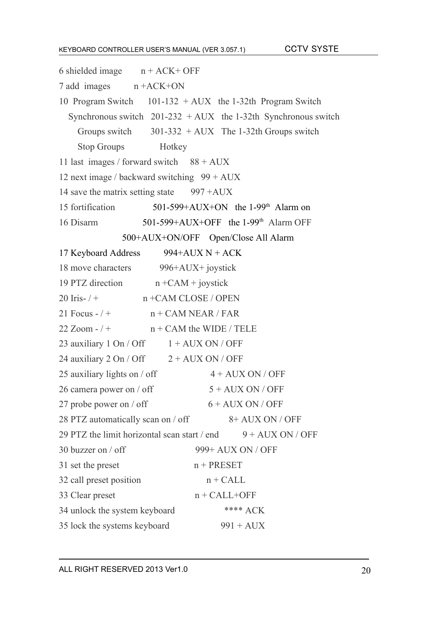#### KEYBOARD CONTROLLER USER'S MANUAL (VER 3.057.1)

|  | <b>CCTV SYSTE</b> |
|--|-------------------|
|--|-------------------|

| 6 shielded image $n + ACK + OFF$           |                                                                               |
|--------------------------------------------|-------------------------------------------------------------------------------|
| $7$ add images $n + ACK + ON$              |                                                                               |
|                                            | 10 Program Switch 101-132 + AUX the 1-32th Program Switch                     |
|                                            | Synchronous switch $201-232 + AUX$ the 1-32th Synchronous switch              |
|                                            | Groups switch $301-332 + AUX$ The 1-32th Groups switch                        |
| Stop Groups Hotkey                         |                                                                               |
| 11 last images / forward switch $88 + AUX$ |                                                                               |
|                                            | 12 next image / backward switching 99 + AUX                                   |
|                                            | 14 save the matrix setting state $997 + AUX$                                  |
| 15 fortification                           | 501-599+AUX+ON the $1-99th$ Alarm on                                          |
| 16 Disarm                                  | 501-599+AUX+OFF the 1-99 <sup>th</sup> Alarm OFF                              |
|                                            | 500+AUX+ON/OFF Open/Close All Alarm                                           |
| 17 Keyboard Address                        | 994+AUX N + ACK                                                               |
|                                            | 18 move characters 996+AUX+ joystick                                          |
| 19 PTZ direction                           | $n + CAM + joystick$                                                          |
| 20 Iris- $/ +$                             | n +CAM CLOSE / OPEN                                                           |
|                                            | 21 Focus - $/ +$ $n + CAM NEAR / FAR$                                         |
|                                            | $22$ Zoom - $/$ + $n +$ CAM the WIDE / TELE                                   |
|                                            | 23 auxiliary 1 On / Off $1 + AUX ON / OFF$                                    |
|                                            | 24 auxiliary $2 \text{ On } / \text{ Off}$ $2 + \text{AUX ON } / \text{ OFF}$ |
| 25 auxiliary lights on / off               | $4 + AUX ON / OFF$                                                            |
| 26 camera power on / off                   | $5 + AUX ON / OFF$                                                            |
| 27 probe power on / off                    | $6 + \text{AUX ON} / \text{OFF}$                                              |
| 28 PTZ automatically scan on / off         | $8+$ AUX ON / OFF                                                             |
|                                            | 29 PTZ the limit horizontal scan start / end<br>$9 + AUX ON / OFF$            |
| 30 buzzer on $/$ off                       | 999+ AUX ON / OFF                                                             |
| 31 set the preset                          | $n + PRESET$                                                                  |
| 32 call preset position                    | $n + CALL$                                                                    |
| 33 Clear preset                            | $n + CALL + OFF$                                                              |
| 34 unlock the system keyboard              | **** $ACK$                                                                    |
| 35 lock the systems keyboard               | $991 + AUX$                                                                   |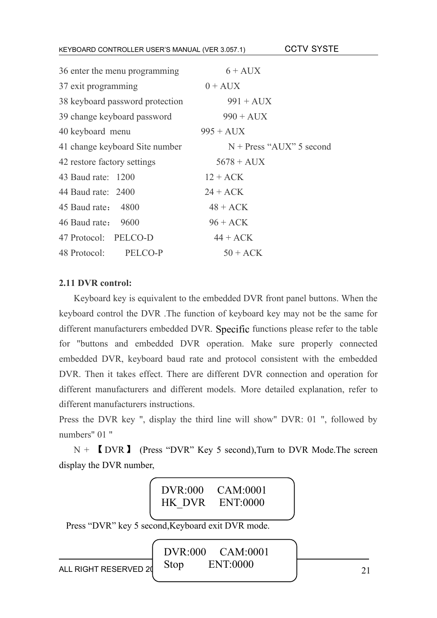<sup>K</sup>EYBOARD CONTROLLER USER'S MANUAL (VER 3.057.1) CCTV SYSTE

| 36 enter the menu programming   | $6+$ AUX                   |
|---------------------------------|----------------------------|
| 37 exit programming             | $0 + \text{AUX}$           |
| 38 keyboard password protection | $991 + \text{AUX}$         |
| 39 change keyboard password     | $990 + \text{AUX}$         |
| 40 keyboard menu                | $995 + \text{AUX}$         |
| 41 change keyboard Site number  | $N + Press$ "AUX" 5 second |
| 42 restore factory settings     | $5678 + \text{AUX}$        |
| 43 Baud rate: 1200              | $12 + ACK$                 |
| 44 Baud rate: 2400              | $24 + ACK$                 |
| 45 Baud rate: 4800              | $48 + ACK$                 |
| 46 Baud rate: 9600              | $96 + ACK$                 |
| 47 Protocol: PELCO-D            | $44 + ACK$                 |
| 48 Protocol:<br>PELCO-P         | $50 + ACK$                 |

#### **2.11 DVR control:**

Keyboard key is equivalent to the embedded DVR front panel buttons. When the keyboard control the DVR .The function of keyboard key may not be the same for different manufacturers embedded DVR. Specific functions please refer to the table for "buttons and embedded DVR operation. Make sure properly connected embedded DVR, keyboard baud rate and protocol consistent with the embedded DVR. Then it takes effect. There are different DVR connection and operation for different manufacturers and different models. More detailed explanation, refer to different manufacturers instructions.

Press the DVR key ", display the third line will show" DVR: 01 ", followed by numbers" 01 "

 $N +$  [DVR ] (Press "DVR" Key 5 second), Turn to DVR Mode. The screen display the DVR number,

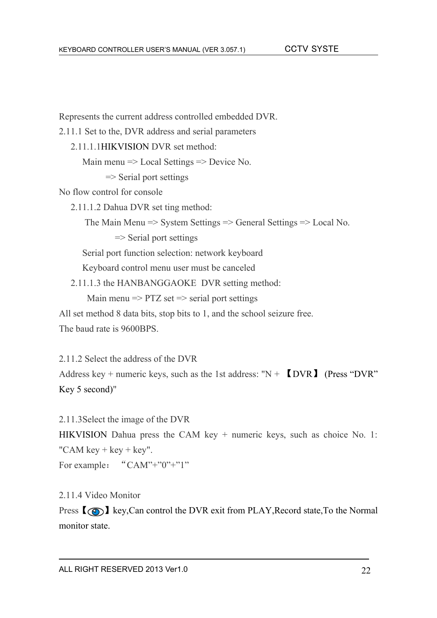Represents the current address controlled embedded DVR.

2.11.1 Set to the, DVR address and serial parameters

2.11.1.1HIKVISION DVR set method:

Main menu => Local Settings => Device No.

 $\Rightarrow$  Serial port settings

No flow control for console

2.11.1.2 Dahua DVR set ting method:

The Main Menu => System Settings => General Settings => Local No.

 $\Rightarrow$  Serial port settings

Serial port function selection: network keyboard

Keyboard control menu user must be canceled

2.11.1.3 the HANBANGGAOKE DVR setting method:

Main menu  $\Rightarrow$  PTZ set  $\Rightarrow$  serial port settings

All set method 8 data bits, stop bits to 1, and the school seizure free. The baud rate is 9600BPS.

2.11.2 Select the address of the DVR Address key + numeric keys, such as the 1st address: " $N + \sim \sim N$  (Press "DVR") Key 5 second)"

2.11.3Select the image of the DVR HIKVISION Dahua press the CAM key + numeric keys, such as choice No. 1: "CAM key  $+$  key  $+$  key". For example: "CAM"+"0"+"1"

2.11.4 Video Monitor

Press  $\{\odot\}$  key, Can control the DVR exit from PLAY, Record state, To the Normal monitor state.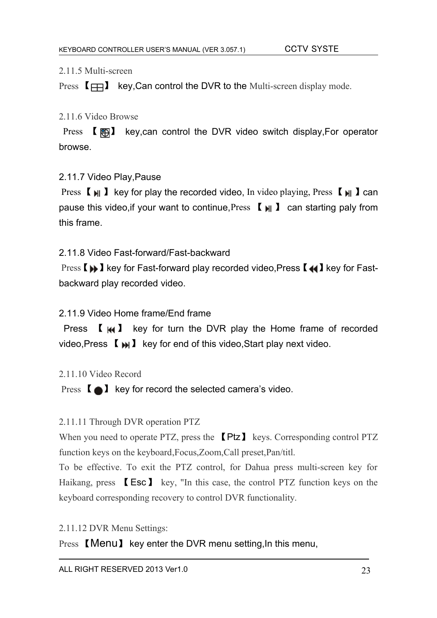#### 2.11.5 Multi-screen

Press  $[\Box]$  key, Can control the DVR to the Multi-screen display mode.

#### 2.11.6 Video Browse

Press 【 图】 key,can control the DVR video switch display, For operator browse.

#### 2.11.7 Video Play,Pause

Press  $\llbracket \ \ \mathbf{H} \ \ \pmb{\}$  key for play the recorded video, In video playing, Press  $\llbracket \ \ \mathbf{H} \ \ \pmb{\}$  can pause this video, if your want to continue, Press  $\llbracket \cdot \cdot \cdot \rrbracket$  can starting paly from this frame.

#### 2.11.8 Video Fast-forward/Fast-backward

Press  $\Box$  Ney for Fast-forward play recorded video, Press  $\Box$  Ney for Fastbackward play recorded video.

#### 2.11.9 Video Home frame/End frame

Press  $\left[\right]$  **K**  $\left[\right]$  key for turn the DVR play the Home frame of recorded video, Press  $\llbracket \bullet \rrbracket$  key for end of this video, Start play next video.

#### 2.11.10 Video Record

Press  $\Box$  key for record the selected camera's video.

#### 2.11.11 Through DVR operation PTZ

When you need to operate PTZ, press the **[Ptz]** keys. Corresponding control PTZ function keys on the keyboard,Focus,Zoom,Call preset,Pan/titl.

To be effective. To exit the PTZ control, for Dahua press multi-screen key for Haikang, press 【Esc】 key, "In this case, the control PTZ function keys on the keyboard corresponding recovery to control DVR functionality.

2.11.12 DVR Menu Settings:

Press 【Menu】 key enter the DVR menu setting,In this menu,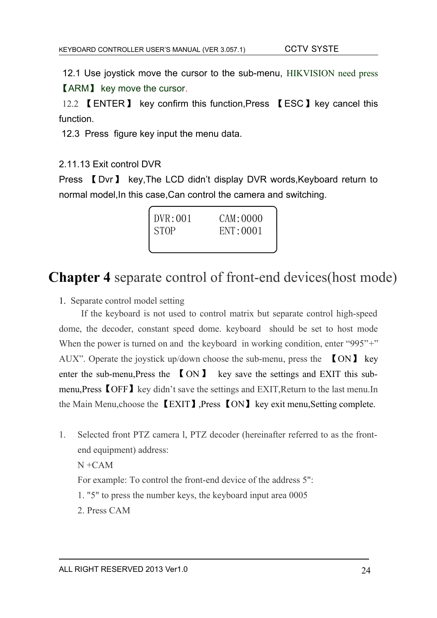12.1 Use joystick move the cursor to the sub-menu, HIKVISION need press 【ARM】 key move the cursor.

12.2 【ENTER】 key confirm this function,Press 【ESC】key cancel this function.

12.3 Press figure key input the menu data.

#### 2.11.13 Exit control DVR

Press 【Dvr】 key,The LCD didn't display DVR words,Keyboard return to normal model,In this case,Can control the camera and switching.

| DVR:001     | CAM: 0000 |
|-------------|-----------|
| <b>STOP</b> | ENT:0001  |
|             |           |

# **Chapter 4** separate control of front-end devices(host mode)

1. Separate control model setting

If the keyboard is not used to control matrix but separate control high-speed dome, the decoder, constant speed dome. keyboard should be set to host mode When the power is turned on and the keyboard in working condition, enter "995"<sup>+"</sup> AUX". Operate the joystick up/down choose the sub-menu, press the 【ON】 key enter the sub-menu, Press the  $[ON]$  key save the settings and EXIT this submenu,Press 【OFF】key didn't save the settings and EXIT,Return to the last menu.In the Main Menu,choose the 【EXIT】,Press 【ON】key exit menu,Setting complete.

1. Selected front PTZ camera l, PTZ decoder (hereinafter referred to as the frontend equipment) address:

 $N + CAM$ 

For example: To control the front-end device of the address 5":

1. "5" to press the number keys, the keyboard input area 0005

2. Press CAM